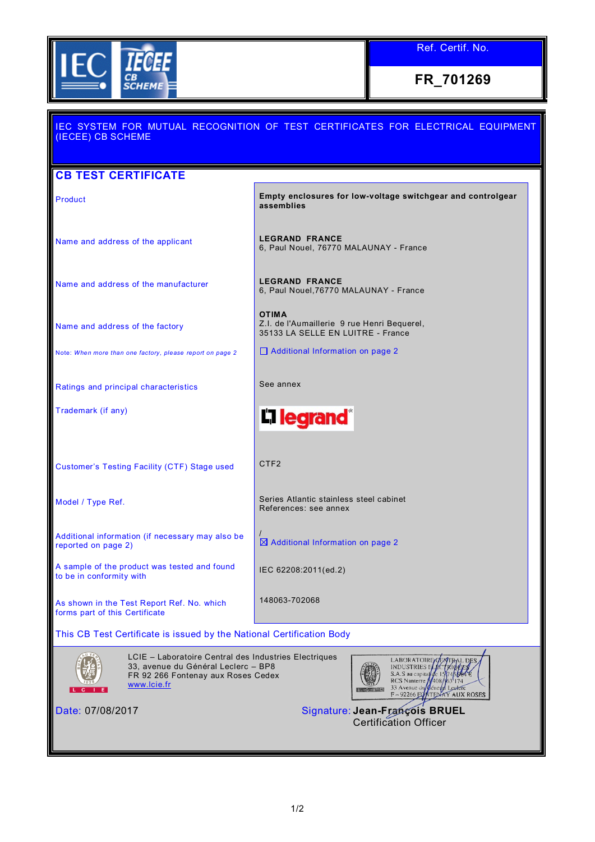

**FR\_701269**

## IEC SYSTEM FOR MUTUAL RECOGNITION OF TEST CERTIFICATES FOR ELECTRICAL EQUIPMENT (IECEE) CB SCHEME **CB TEST CERTIFICATE** Product **Empty enclosures for low-voltage switchgear and controlgear assemblies** Name and address of the applicant **LEGRAND FRANCE** 6, Paul Nouel, 76770 MALAUNAY - France Name and address of the manufacturer **LEGRAND FRANCE** 6, Paul Nouel,76770 MALAUNAY - France **OTIMA** Z.I. de l'Aumaillerie 9 rue Henri Bequerel, Name and address of the factory 35133 LA SELLE EN LUITRE - France □ Additional Information on page 2 Note: *When more than one factory, please report on page 2* Ratings and principal characteristics **See annex** Trademark (if any) L<sub>legrand</sub>® Customer's Testing Facility (CTF) Stage used CTF2 Model / Type Ref. Series Atlantic stainless steel cabinet References: see annex / Additional information (if necessary may also be Additional Information on page 2 reported on page 2) A sample of the product was tested and found IEC 62208:2011(ed.2) to be in conformity with 148063-702068 As shown in the Test Report Ref. No. which forms part of this Certificate This CB Test Certificate is issued by the National Certification Body LCIE – Laboratoire Central des Industries Electriques **LABORATOIRE** DES 33, avenue du Général Leclerc – BP8 INDUSTRIES F S.A.S au capita FR 92 266 Fontenay aux Roses Cedex **RCS** Nanterre [www.lcie.fr](http://www.lcie.fr/)  $\overline{1}$ CGRETC<br>AUX ROSES  $-92266F$ Date: 07/08/2017 Signature: **Jean-François BRUEL**

Certification Officer